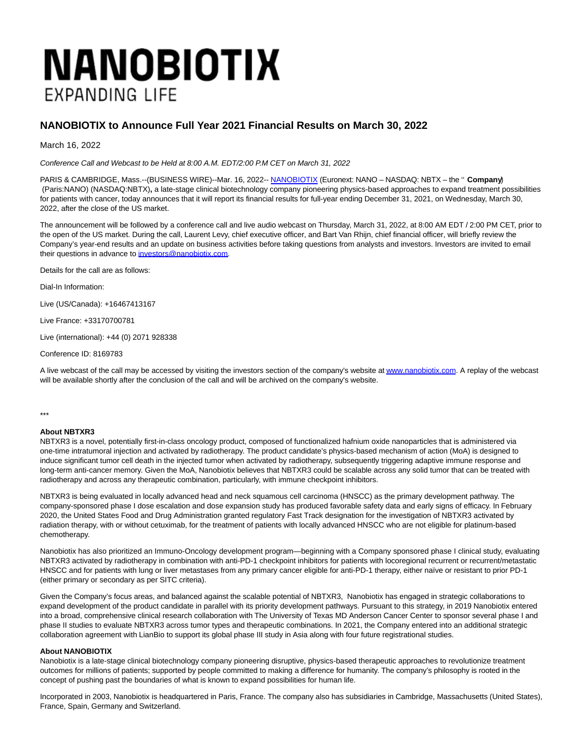## **NANOBIOTIX EXPANDING LIFE**

## **NANOBIOTIX to Announce Full Year 2021 Financial Results on March 30, 2022**

March 16, 2022

Conference Call and Webcast to be Held at 8:00 A.M. EDT/2:00 P.M CET on March 31, 2022

PARIS & CAMBRIDGE, Mass.--(BUSINESS WIRE)--Mar. 16, 2022-- [NANOBIOTIX \(](https://cts.businesswire.com/ct/CT?id=smartlink&url=http%3A%2F%2Fwww.nanobiotix.com&esheet=52600437&newsitemid=20220316005764&lan=en-US&anchor=NANOBIOTIX&index=1&md5=eb13013beec309cbcb3ed81ed5c23a7e)Euronext: NANO – NASDAQ: NBTX – the '' **Company**') (Paris:NANO) (NASDAQ:NBTX)**,** a late-stage clinical biotechnology company pioneering physics-based approaches to expand treatment possibilities for patients with cancer, today announces that it will report its financial results for full-year ending December 31, 2021, on Wednesday, March 30, 2022, after the close of the US market.

The announcement will be followed by a conference call and live audio webcast on Thursday, March 31, 2022, at 8:00 AM EDT / 2:00 PM CET, prior to the open of the US market. During the call, Laurent Levy, chief executive officer, and Bart Van Rhijn, chief financial officer, will briefly review the Company's year-end results and an update on business activities before taking questions from analysts and investors. Investors are invited to email their questions in advance to [investors@nanobiotix.com.](mailto:investors@nanobiotix.com)

Details for the call are as follows:

Dial-In Information:

Live (US/Canada): +16467413167

Live France: +33170700781

Live (international): +44 (0) 2071 928338

Conference ID: 8169783

A live webcast of the call may be accessed by visiting the investors section of the company's website a[t www.nanobiotix.com.](https://cts.businesswire.com/ct/CT?id=smartlink&url=https%3A%2F%2Fnanofrance-my.sharepoint.com%2Fpersonal%2Fkate_mcneil_nanobiotix_com%2FDocuments%2FMicrosoft%2520Teams%2520Chat%2520Files%2Fwww.nanobiotix.com&esheet=52600437&newsitemid=20220316005764&lan=en-US&anchor=www.nanobiotix.com&index=2&md5=f18ebf237d9e5173fe7303e9cfcec2df) A replay of the webcast will be available shortly after the conclusion of the call and will be archived on the company's website.

\*\*\*

## **About NBTXR3**

NBTXR3 is a novel, potentially first-in-class oncology product, composed of functionalized hafnium oxide nanoparticles that is administered via one-time intratumoral injection and activated by radiotherapy. The product candidate's physics-based mechanism of action (MoA) is designed to induce significant tumor cell death in the injected tumor when activated by radiotherapy, subsequently triggering adaptive immune response and long-term anti-cancer memory. Given the MoA, Nanobiotix believes that NBTXR3 could be scalable across any solid tumor that can be treated with radiotherapy and across any therapeutic combination, particularly, with immune checkpoint inhibitors.

NBTXR3 is being evaluated in locally advanced head and neck squamous cell carcinoma (HNSCC) as the primary development pathway. The company-sponsored phase I dose escalation and dose expansion study has produced favorable safety data and early signs of efficacy. In February 2020, the United States Food and Drug Administration granted regulatory Fast Track designation for the investigation of NBTXR3 activated by radiation therapy, with or without cetuximab, for the treatment of patients with locally advanced HNSCC who are not eligible for platinum-based chemotherapy.

Nanobiotix has also prioritized an Immuno-Oncology development program—beginning with a Company sponsored phase I clinical study, evaluating NBTXR3 activated by radiotherapy in combination with anti-PD-1 checkpoint inhibitors for patients with locoregional recurrent or recurrent/metastatic HNSCC and for patients with lung or liver metastases from any primary cancer eligible for anti-PD-1 therapy, either naïve or resistant to prior PD-1 (either primary or secondary as per SITC criteria).

Given the Company's focus areas, and balanced against the scalable potential of NBTXR3, Nanobiotix has engaged in strategic collaborations to expand development of the product candidate in parallel with its priority development pathways. Pursuant to this strategy, in 2019 Nanobiotix entered into a broad, comprehensive clinical research collaboration with The University of Texas MD Anderson Cancer Center to sponsor several phase I and phase II studies to evaluate NBTXR3 across tumor types and therapeutic combinations. In 2021, the Company entered into an additional strategic collaboration agreement with LianBio to support its global phase III study in Asia along with four future registrational studies.

## **About NANOBIOTIX**

Nanobiotix is a late-stage clinical biotechnology company pioneering disruptive, physics-based therapeutic approaches to revolutionize treatment outcomes for millions of patients; supported by people committed to making a difference for humanity. The company's philosophy is rooted in the concept of pushing past the boundaries of what is known to expand possibilities for human life.

Incorporated in 2003, Nanobiotix is headquartered in Paris, France. The company also has subsidiaries in Cambridge, Massachusetts (United States), France, Spain, Germany and Switzerland.